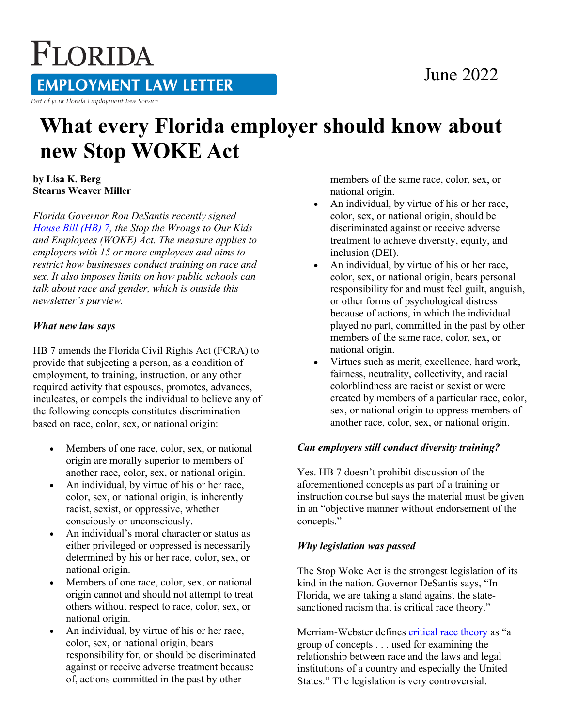# FLORIDA

**EMPLOYMENT LAW LETTER** 

Part of your Florida Employment Law Service

## **What every Florida employer should know about new Stop WOKE Act**

**by Lisa K. Berg Stearns Weaver Miller** 

*Florida Governor Ron DeSantis recently signed [House Bill \(HB\) 7,](https://www.flsenate.gov/Session/Bill/2022/7/BillText/er/PDF) the Stop the Wrongs to Our Kids and Employees (WOKE) Act. The measure applies to employers with 15 or more employees and aims to restrict how businesses conduct training on race and sex. It also imposes limits on how public schools can talk about race and gender, which is outside this newsletter's purview.*

#### *What new law says*

HB 7 amends the Florida Civil Rights Act (FCRA) to provide that subjecting a person, as a condition of employment, to training, instruction, or any other required activity that espouses, promotes, advances, inculcates, or compels the individual to believe any of the following concepts constitutes discrimination based on race, color, sex, or national origin:

- Members of one race, color, sex, or national origin are morally superior to members of another race, color, sex, or national origin.
- An individual, by virtue of his or her race, color, sex, or national origin, is inherently racist, sexist, or oppressive, whether consciously or unconsciously.
- An individual's moral character or status as either privileged or oppressed is necessarily determined by his or her race, color, sex, or national origin.
- Members of one race, color, sex, or national origin cannot and should not attempt to treat others without respect to race, color, sex, or national origin.
- An individual, by virtue of his or her race, color, sex, or national origin, bears responsibility for, or should be discriminated against or receive adverse treatment because of, actions committed in the past by other

members of the same race, color, sex, or national origin.

- An individual, by virtue of his or her race, color, sex, or national origin, should be discriminated against or receive adverse treatment to achieve diversity, equity, and inclusion (DEI).
- An individual, by virtue of his or her race, color, sex, or national origin, bears personal responsibility for and must feel guilt, anguish, or other forms of psychological distress because of actions, in which the individual played no part, committed in the past by other members of the same race, color, sex, or national origin.
- Virtues such as merit, excellence, hard work, fairness, neutrality, collectivity, and racial colorblindness are racist or sexist or were created by members of a particular race, color, sex, or national origin to oppress members of another race, color, sex, or national origin.

#### *Can employers still conduct diversity training?*

Yes. HB 7 doesn't prohibit discussion of the aforementioned concepts as part of a training or instruction course but says the material must be given in an "objective manner without endorsement of the concepts."

#### *Why legislation was passed*

The Stop Woke Act is the strongest legislation of its kind in the nation. Governor DeSantis says, "In Florida, we are taking a stand against the statesanctioned racism that is critical race theory."

Merriam-Webster defines [critical race theory](https://apnews.com/article/what-is-critical-race-theory-08f5d0a0489c7d6eab7d9a238365d2c1) as "a group of concepts . . . used for examining the relationship between race and the laws and legal institutions of a country and especially the United States." The legislation is very controversial.

### June 2022